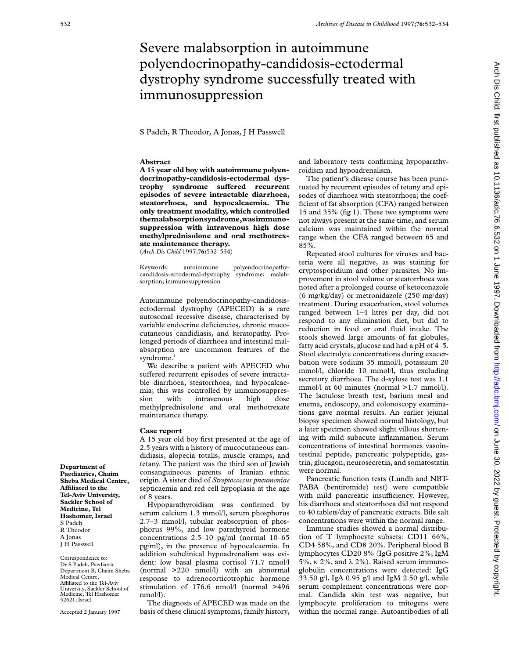## Severe malabsorption in autoimmune polyendocrinopathy-candidosis-ectodermal dystrophy syndrome successfully treated with immunosuppression

S Padeh, R Theodor, A Jonas, J H Passwell

## **Abstract**

**A 15 year old boy with autoimmune polyendocrinopathy-candidosis-ectodermal dystrophy** syndrome suffered recurrent **episodes of severe intractable diarrhoea, steatorrhoea, and hypocalcaemia. The only treatment modality, which controlled themalabsorptionsyndrome,wasimmunosuppression with intravenous high dose methylprednisolone and oral methotrexate maintenance therapy.** (*Arch Dis Child* 1997;**76:**532–534)

Keywords: autoimmune polyendocrinopathycandidosis-ectodermal-dystrophy syndrome; malabsorption; immunosuppression

Autoimmune polyendocrinopathy-candidosisectodermal dystrophy (APECED) is a rare autosomal recessive disease, characterised by variable endocrine deficiencies, chronic mucocutaneous candidiasis, and keratopathy. Prolonged periods of diarrhoea and intestinal malabsorption are uncommon features of the syndrome.<sup>1</sup>

We describe a patient with APECED who suffered recurrent episodes of severe intractable diarrhoea, steatorrhoea, and hypocalcaemia; this was controlled by immunosuppression with intravenous high dose methylprednisolone and oral methotrexate maintenance therapy.

## **Case report**

A 15 year old boy first presented at the age of 2.5 years with a history of mucocutaneous candidiasis, alopecia totalis, muscle cramps, and tetany. The patient was the third son of Jewish consanguineous parents of Iranian ethnic origin. A sister died of *Streptococcus pneumoniae* septicaemia and red cell hypoplasia at the age of 8 years.

Hypoparathyroidism was confirmed by serum calcium 1.3 mmol/l, serum phosphorus 2.7–3 mmol/l, tubular reabsorption of phosphorus 99%, and low parathyroid hormone concentrations 2.5–10 pg/ml (normal 10–65 pg/ml), in the presence of hypocalcaemia. In addition subclinical hypoadrenalism was evident: low basal plasma cortisol 71.7 nmol/l (normal >220 nmol/l) with an abnormal response to adrenocorticotrophic hormone stimulation of 176.6 nmol/l (normal >496 nmol/l).

The diagnosis of APECED was made on the basis of these clinical symptoms, family history, and laboratory tests confirming hypoparathyroidism and hypoadrenalism.

The patient's disease course has been punctuated by recurrent episodes of tetany and episodes of diarrhoea with steatorrhoea; the coefficient of fat absorption (CFA) ranged between 15 and 35% (fig 1). These two symptoms were not always present at the same time, and serum calcium was maintained within the normal range when the CFA ranged between 65 and 85%.

Repeated stool cultures for viruses and bacteria were all negative, as was staining for cryptosporidium and other parasites. No improvement in stool volume or steatorrhoea was noted after a prolonged course of ketoconazole (6 mg/kg/day) or metronidazole (250 mg/day) treatment. During exacerbation, stool volumes ranged between 1–4 litres per day, did not respond to any elimination diet, but did to reduction in food or oral fluid intake. The stools showed large amounts of fat globules, fatty acid crystals, glucose and had a pH of 4–5. Stool electrolyte concentrations during exacerbation were sodium 35 mmol/l, potassium 20 mmol/l, chloride 10 mmol/l, thus excluding secretory diarrhoea. The d-xylose test was 1.1 mmol/l at 60 minutes (normal >1.7 mmol/l). The lactulose breath test, barium meal and enema, endoscopy, and colonoscopy examinations gave normal results. An earlier jejunal biopsy specimen showed normal histology, but a later specimen showed slight villous shortening with mild subacute inflammation. Serum concentrations of intestinal hormones vasointestinal peptide, pancreatic polypeptide, gastrin, glucagon, neurosecretin, and somatostatin were normal.

Pancreatic function tests (Lundh and NBT-PABA (bentiromide) test) were compatible with mild pancreatic insufficiency. However, his diarrhoea and steatorrhoea did not respond to 40 tablets/day of pancreatic extracts. Bile salt concentrations were within the normal range.

Immune studies showed a normal distribution of T lymphocyte subsets: CD11 66%, CD4 58%, and CD8 20%. Peripheral blood B lymphocytes CD20 8% (IgG positive 2%, IgM 5%,  $\kappa$  2%, and  $\lambda$  2%). Raised serum immunoglobulin concentrations were detected: IgG 33.50 g/l, IgA 0.95 g/l and IgM 2.50 g/l, while serum complement concentrations were normal. Candida skin test was negative, but lymphocyte proliferation to mitogens were within the normal range. Autoantibodies of all

**Department of Paediatrics, Chaim Sheba Medical Centre, AYliated to the Tel-Aviv University, Sackler School of Medicine, Tel Hashomer, Israel** S Padeh R Theodor A Jonas J H Passwell

Correspondence to: Dr S Padeh, Paediatric Department B, Chaim Sheba Medical Centre, Affiliated to the Tel-Aviv University, Sackler School of Medicine, Tel Hashomer 52621, Israel.

Accepted 2 January 1997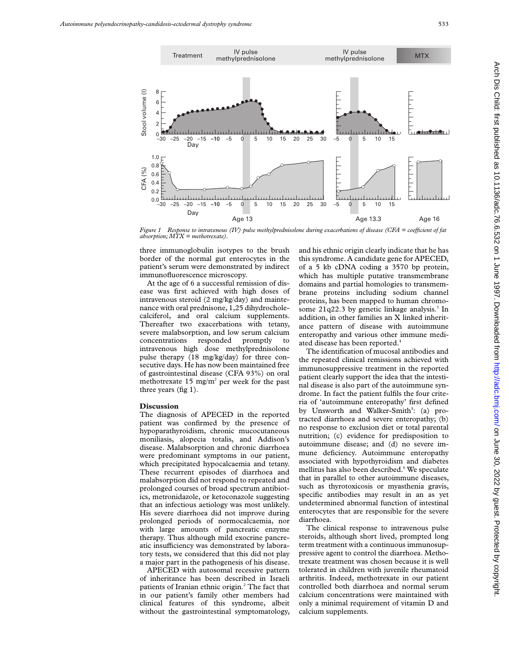

*Figure 1* Response to intravenous (IV) pulse methylprednisolone during exacerbations of disease (CFA = coefficient of fat *absorption; MTX = methotrexate).*

three immunoglobulin isotypes to the brush border of the normal gut enterocytes in the patient's serum were demonstrated by indirect immunofluorescence microscopy.

At the age of 6 a successful remission of disease was first achieved with high doses of intravenous steroid (2 mg/kg/day) and maintenance with oral prednisone, 1,25 dihydrocholecalciferol, and oral calcium supplements. Thereafter two exacerbations with tetany, severe malabsorption, and low serum calcium concentrations responded promptly to intravenous high dose methylprednisolone pulse therapy (18 mg/kg/day) for three consecutive days. He has now been maintained free of gastrointestinal disease (CFA 93%) on oral methotrexate 15 mg/m<sup>2</sup> per week for the past three years (fig 1).

## **Discussion**

The diagnosis of APECED in the reported patient was confirmed by the presence of hypoparathyroidism, chronic mucocutaneous moniliasis, alopecia totalis, and Addison's disease. Malabsorption and chronic diarrhoea were predominant symptoms in our patient, which precipitated hypocalcaemia and tetany. These recurrent episodes of diarrhoea and malabsorption did not respond to repeated and prolonged courses of broad spectrum antibiotics, metronidazole, or ketoconazole suggesting that an infectious aetiology was most unlikely. His severe diarrhoea did not improve during prolonged periods of normocalcaemia, nor with large amounts of pancreatic enzyme therapy. Thus although mild exocrine pancreatic insufficiency was demonstrated by laboratory tests, we considered that this did not play a major part in the pathogenesis of his disease.

APECED with autosomal recessive pattern of inheritance has been described in Israeli patients of Iranian ethnic origin.2 The fact that in our patient's family other members had clinical features of this syndrome, albeit without the gastrointestinal symptomatology,

and his ethnic origin clearly indicate that he has this syndrome. A candidate gene for APECED, of a 5 kb cDNA coding a 3570 bp protein, which has multiple putative transmembrane domains and partial homologies to transmembrane proteins including sodium channel proteins, has been mapped to human chromosome  $21q22.3$  by genetic linkage analysis.<sup>3</sup> In addition, in other families an X linked inheritance pattern of disease with autoimmune enteropathy and various other immune mediated disease has been reported.<sup>4</sup>

The identification of mucosal antibodies and the repeated clinical remissions achieved with immunosuppressive treatment in the reported patient clearly support the idea that the intestinal disease is also part of the autoimmune syndrome. In fact the patient fulfils the four criteria of 'autoimmune enteropathy' first defined by Unsworth and Walker-Smith<sup>5</sup>: (a) protracted diarrhoea and severe enteropathy; (b) no response to exclusion diet or total parental nutrition; (c) evidence for predisposition to autoimmune disease; and (d) no severe immune deficiency. Autoimmune enteropathy associated with hypothyroidism and diabetes mellitus has also been described.<sup>6</sup> We speculate that in parallel to other autoimmune diseases, such as thyrotoxicosis or myasthenia gravis, specific antibodies may result in an as yet undetermined abnormal function of intestinal enterocytes that are responsible for the severe diarrhoea.

The clinical response to intravenous pulse steroids, although short lived, prompted long term treatment with a continuous immunosuppressive agent to control the diarrhoea. Methotrexate treatment was chosen because it is well tolerated in children with juvenile rheumatoid arthritis. Indeed, methotrexate in our patient controlled both diarrhoea and normal serum calcium concentrations were maintained with only a minimal requirement of vitamin D and calcium supplements.